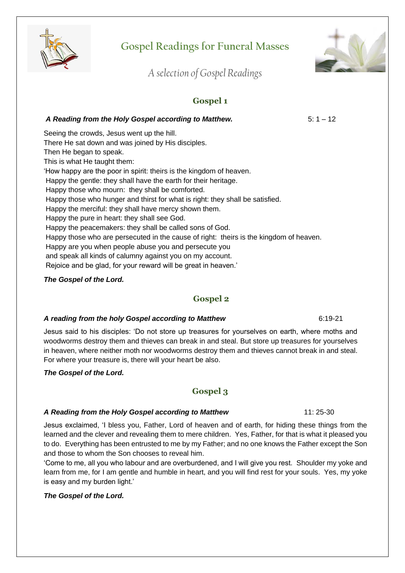

# **Gospel Readings for Funeral Masses**



*A selection of Gospel Readings*

## **Gospel 1**

*A Reading from the Holy Gospel according to Matthew.* 5: 1 – 12 Seeing the crowds, Jesus went up the hill. There He sat down and was joined by His disciples. Then He began to speak. This is what He taught them: 'How happy are the poor in spirit: theirs is the kingdom of heaven. Happy the gentle: they shall have the earth for their heritage. Happy those who mourn: they shall be comforted. Happy those who hunger and thirst for what is right: they shall be satisfied. Happy the merciful: they shall have mercy shown them. Happy the pure in heart: they shall see God. Happy the peacemakers: they shall be called sons of God. Happy those who are persecuted in the cause of right: theirs is the kingdom of heaven. Happy are you when people abuse you and persecute you and speak all kinds of calumny against you on my account. Rejoice and be glad, for your reward will be great in heaven.'

#### *The Gospel of the Lord.*

## **Gospel 2**

#### *A reading from the holy Gospel according to Matthew*6:19-21

Jesus said to his disciples: 'Do not store up treasures for yourselves on earth, where moths and woodworms destroy them and thieves can break in and steal. But store up treasures for yourselves in heaven, where neither moth nor woodworms destroy them and thieves cannot break in and steal. For where your treasure is, there will your heart be also.

*The Gospel of the Lord.*

## **Gospel 3**

## *A Reading from the Holy Gospel according to Matthew* 11: 25-30

Jesus exclaimed, 'I bless you, Father, Lord of heaven and of earth, for hiding these things from the learned and the clever and revealing them to mere children. Yes, Father, for that is what it pleased you to do. Everything has been entrusted to me by my Father; and no one knows the Father except the Son and those to whom the Son chooses to reveal him.

'Come to me, all you who labour and are overburdened, and I will give you rest. Shoulder my yoke and learn from me, for I am gentle and humble in heart, and you will find rest for your souls. Yes, my yoke is easy and my burden light.'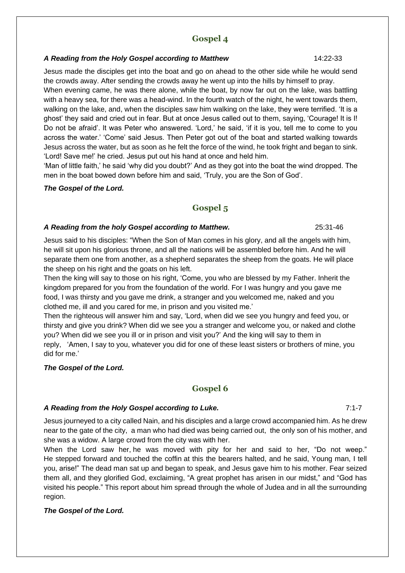#### *A Reading from the Holy Gospel according to Matthew*14:22-33

Jesus made the disciples get into the boat and go on ahead to the other side while he would send the crowds away. After sending the crowds away he went up into the hills by himself to pray.

When evening came, he was there alone, while the boat, by now far out on the lake, was battling with a heavy sea, for there was a head-wind. In the fourth watch of the night, he went towards them, walking on the lake, and, when the disciples saw him walking on the lake, they were terrified. 'It is a ghost' they said and cried out in fear. But at once Jesus called out to them, saying, 'Courage! It is I! Do not be afraid'. lt was Peter who answered. 'Lord,' he said, 'if it is you, tell me to come to you across the water.' 'Come' said Jesus. Then Peter got out of the boat and started walking towards Jesus across the water, but as soon as he felt the force of the wind, he took fright and began to sink. 'Lord! Save me!' he cried. Jesus put out his hand at once and held him.

'Man of little faith,' he said 'why did you doubt?' And as they got into the boat the wind dropped. The men in the boat bowed down before him and said, 'Truly, you are the Son of God'.

#### *The Gospel of the Lord.*

## **Gospel 5**

#### *A Reading from the holy Gospel according to Matthew.* 25:31-46

Jesus said to his disciples: "When the Son of Man comes in his glory, and all the angels with him, he will sit upon his glorious throne, and all the nations will be assembled before him. And he will separate them one from another, as a shepherd separates the sheep from the goats. He will place the sheep on his right and the goats on his left.

Then the king will say to those on his right, 'Come, you who are blessed by my Father. Inherit the kingdom prepared for you from the foundation of the world. For I was hungry and you gave me food, I was thirsty and you gave me drink, a stranger and you welcomed me, naked and you clothed me, ill and you cared for me, in prison and you visited me.'

Then the righteous will answer him and say, 'Lord, when did we see you hungry and feed you, or thirsty and give you drink? When did we see you a stranger and welcome you, or naked and clothe you? When did we see you ill or in prison and visit you?' And the king will say to them in reply, 'Amen, I say to you, whatever you did for one of these least sisters or brothers of mine, you did for me.'

#### *The Gospel of the Lord.*

## **Gospel 6**

#### *A Reading from the Holy Gospel according to Luke.* 7:1-7

Jesus journeyed to a city called Nain, and his disciples and a large crowd accompanied him. As he drew near to the gate of the city, a man who had died was being carried out, the only son of his mother, and she was a widow. A large crowd from the city was with her.

When the Lord saw her, he was moved with pity for her and said to her, "Do not weep." He stepped forward and touched the coffin at this the bearers halted, and he said, Young man, I tell you, arise!" The dead man sat up and began to speak, and Jesus gave him to his mother. Fear seized them all, and they glorified God, exclaiming, "A great prophet has arisen in our midst," and "God has visited his people." This report about him spread through the whole of Judea and in all the surrounding region.

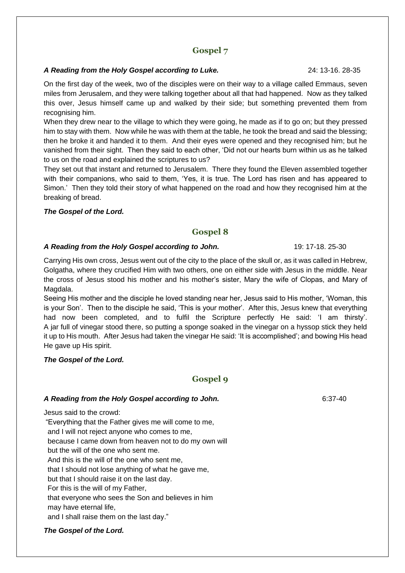#### *A Reading from the Holy Gospel according to Luke.* 24: 13-16. 28-35

On the first day of the week, two of the disciples were on their way to a village called Emmaus, seven miles from Jerusalem, and they were talking together about all that had happened. Now as they talked this over, Jesus himself came up and walked by their side; but something prevented them from recognising him.

When they drew near to the village to which they were going, he made as if to go on; but they pressed him to stay with them. Now while he was with them at the table, he took the bread and said the blessing; then he broke it and handed it to them. And their eyes were opened and they recognised him; but he vanished from their sight. Then they said to each other, 'Did not our hearts burn within us as he talked to us on the road and explained the scriptures to us?

They set out that instant and returned to Jerusalem. There they found the Eleven assembled together with their companions, who said to them, 'Yes, it is true. The Lord has risen and has appeared to Simon.' Then they told their story of what happened on the road and how they recognised him at the breaking of bread.

#### *The Gospel of the Lord.*

## **Gospel 8**

#### A Reading from the Holy Gospel according to John. 19: 17-18. 25-30

Carrying His own cross, Jesus went out of the city to the place of the skull or, as it was called in Hebrew, Golgatha, where they crucified Him with two others, one on either side with Jesus in the middle. Near the cross of Jesus stood his mother and his mother's sister, Mary the wife of Clopas, and Mary of Magdala.

Seeing His mother and the disciple he loved standing near her, Jesus said to His mother, 'Woman, this is your Son'. Then to the disciple he said, 'This is your mother'. After this, Jesus knew that everything had now been completed, and to fulfil the Scripture perfectly He said: 'I am thirsty'. A jar full of vinegar stood there, so putting a sponge soaked in the vinegar on a hyssop stick they held it up to His mouth. After Jesus had taken the vinegar He said: 'It is accomplished'; and bowing His head He gave up His spirit.

#### *The Gospel of the Lord.*

## **Gospel 9**

#### *A Reading from the Holy Gospel according to John.* 6:37-40

Jesus said to the crowd:

"Everything that the Father gives me will come to me, and I will not reject anyone who comes to me, because I came down from heaven not to do my own will but the will of the one who sent me. And this is the will of the one who sent me, that I should not lose anything of what he gave me, but that I should raise it on the last day. For this is the will of my Father, that everyone who sees the Son and believes in him may have eternal life, and I shall raise them on the last day."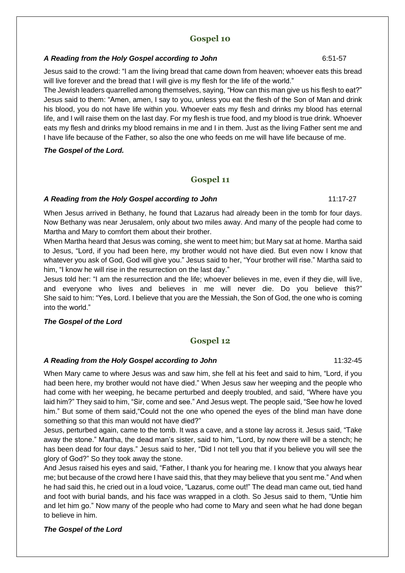#### *A Reading from the Holy Gospel according to John* 6:51-57

Jesus said to the crowd: "I am the living bread that came down from heaven; whoever eats this bread will live forever and the bread that I will give is my flesh for the life of the world."

The Jewish leaders quarrelled among themselves, saying, "How can this man give us his flesh to eat?" Jesus said to them: "Amen, amen, I say to you, unless you eat the flesh of the Son of Man and drink his blood, you do not have life within you. Whoever eats my flesh and drinks my blood has eternal life, and I will raise them on the last day. For my flesh is true food, and my blood is true drink. Whoever eats my flesh and drinks my blood remains in me and I in them. Just as the living Father sent me and I have life because of the Father, so also the one who feeds on me will have life because of me.

*The Gospel of the Lord.*

## **Gospel 11**

#### *A Reading from the Holy Gospel according to John* 11:17-27

When Jesus arrived in Bethany, he found that Lazarus had already been in the tomb for four days. Now Bethany was near Jerusalem, only about two miles away. And many of the people had come to Martha and Mary to comfort them about their brother.

When Martha heard that Jesus was coming, she went to meet him; but Mary sat at home. Martha said to Jesus, "Lord, if you had been here, my brother would not have died. But even now I know that whatever you ask of God, God will give you." Jesus said to her, "Your brother will rise." Martha said to him, "I know he will rise in the resurrection on the last day."

Jesus told her: "I am the resurrection and the life; whoever believes in me, even if they die, will live, and everyone who lives and believes in me will never die. Do you believe this?" She said to him: "Yes, Lord. I believe that you are the Messiah, the Son of God, the one who is coming into the world."

#### *The Gospel of the Lord*

## **Gospel 12**

#### *A Reading from the Holy Gospel according to John* 11:32-45

When Mary came to where Jesus was and saw him, she fell at his feet and said to him, "Lord, if you had been here, my brother would not have died." When Jesus saw her weeping and the people who had come with her weeping, he became perturbed and deeply troubled, and said, "Where have you laid him?" They said to him, "Sir, come and see." And Jesus wept. The people said, "See how he loved him." But some of them said,"Could not the one who opened the eyes of the blind man have done something so that this man would not have died?"

Jesus, perturbed again, came to the tomb. It was a cave, and a stone lay across it. Jesus said, "Take away the stone." Martha, the dead man's sister, said to him, "Lord, by now there will be a stench; he has been dead for four days." Jesus said to her, "Did I not tell you that if you believe you will see the glory of God?" So they took away the stone.

And Jesus raised his eyes and said, "Father, I thank you for hearing me. I know that you always hear me; but because of the crowd here I have said this, that they may believe that you sent me." And when he had said this, he cried out in a loud voice, "Lazarus, come out!" The dead man came out, tied hand and foot with burial bands, and his face was wrapped in a cloth. So Jesus said to them, "Untie him and let him go." Now many of the people who had come to Mary and seen what he had done began to believe in him.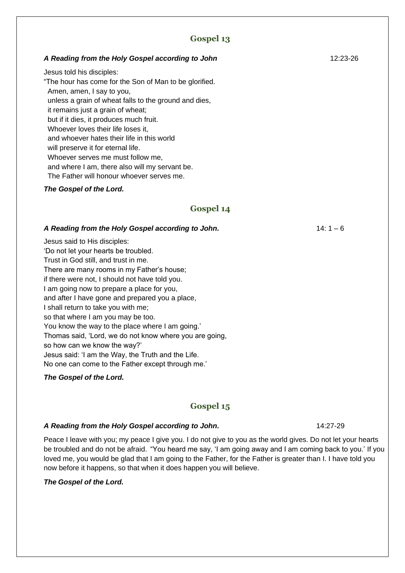#### *A Reading from the Holy Gospel according to John* 12:23-26

Jesus told his disciples:

"The hour has come for the Son of Man to be glorified. Amen, amen, I say to you, unless a grain of wheat falls to the ground and dies, it remains just a grain of wheat; but if it dies, it produces much fruit. Whoever loves their life loses it, and whoever hates their life in this world will preserve it for eternal life. Whoever serves me must follow me, and where I am, there also will my servant be. The Father will honour whoever serves me.

#### *The Gospel of the Lord.*

## **Gospel 14**

#### A Reading from the Holy Gospel according to John. 14: 1 - 6

Jesus said to His disciples: 'Do not let your hearts be troubled. Trust in God still, and trust in me. There are many rooms in my Father's house; if there were not, I should not have told you. I am going now to prepare a place for you, and after I have gone and prepared you a place, I shall return to take you with me; so that where I am you may be too. You know the way to the place where I am going.' Thomas said, 'Lord, we do not know where you are going, so how can we know the way?' Jesus said: 'I am the Way, the Truth and the Life. No one can come to the Father except through me.'

#### *The Gospel of the Lord.*

## **Gospel 15**

#### A Reading from the Holy Gospel according to John. 14:27-29

Peace I leave with you; my peace I give you. I do not give to you as the world gives. Do not let your hearts be troubled and do not be afraid. "You heard me say, 'I am going away and I am coming back to you.' If you loved me, you would be glad that I am going to the Father, for the Father is greater than I. I have told you now before it happens, so that when it does happen you will believe.